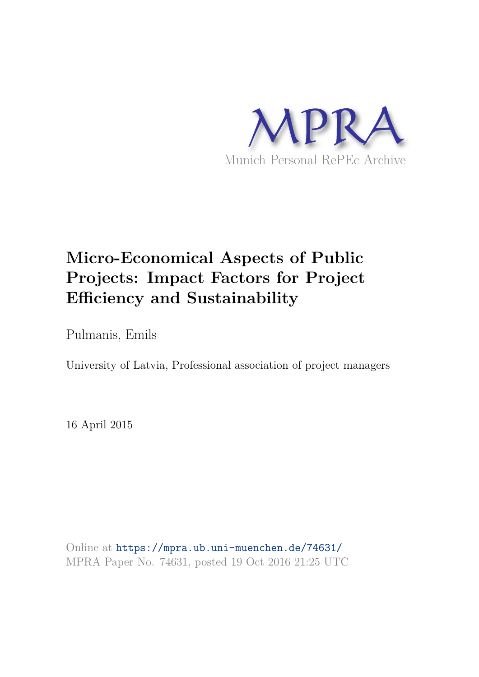

# **Micro-Economical Aspects of Public Projects: Impact Factors for Project Efficiency and Sustainability**

Pulmanis, Emils

University of Latvia, Professional association of project managers

16 April 2015

Online at https://mpra.ub.uni-muenchen.de/74631/ MPRA Paper No. 74631, posted 19 Oct 2016 21:25 UTC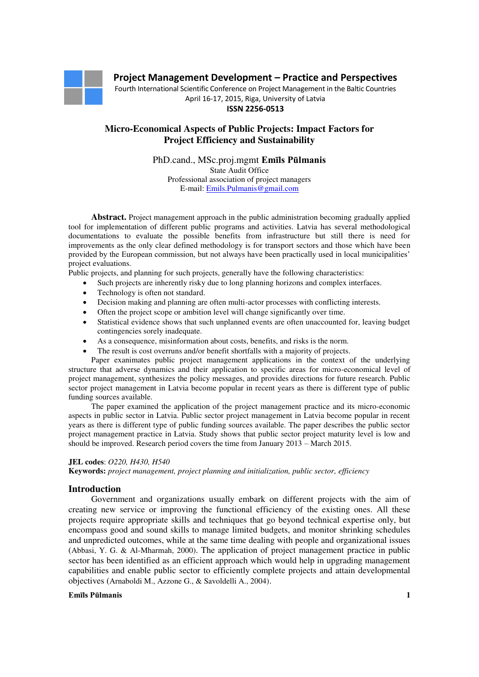

Fourth International Scientific Conference on Project Management in the Baltic Countries April 16-17, 2015, Riga, University of Latvia

**ISSN 2256-0513**

# **Micro-Economical Aspects of Public Projects: Impact Factors for Project Efficiency and Sustainability**

PhD.cand., MSc.proj.mgmt **Emīls Pūlmanis** State Audit Office Professional association of project managers E-mail: [Emils.Pulmanis@gmail.com](mailto:Emils.Pulmanis@gmail.com) 

**Abstract.** Project management approach in the public administration becoming gradually applied tool for implementation of different public programs and activities. Latvia has several methodological documentations to evaluate the possible benefits from infrastructure but still there is need for improvements as the only clear defined methodology is for transport sectors and those which have been provided by the European commission, but not always have been practically used in local municipalities' project evaluations.

Public projects, and planning for such projects, generally have the following characteristics:

- Such projects are inherently risky due to long planning horizons and complex interfaces.
- Technology is often not standard.
- Decision making and planning are often multi-actor processes with conflicting interests.
- Often the project scope or ambition level will change significantly over time.
- Statistical evidence shows that such unplanned events are often unaccounted for, leaving budget contingencies sorely inadequate.
- As a consequence, misinformation about costs, benefits, and risks is the norm.
- The result is cost overruns and/or benefit shortfalls with a majority of projects.

Paper exanimates public project management applications in the context of the underlying structure that adverse dynamics and their application to specific areas for micro-economical level of project management, synthesizes the policy messages, and provides directions for future research. Public sector project management in Latvia become popular in recent years as there is different type of public funding sources available.

The paper examined the application of the project management practice and its micro-economic aspects in public sector in Latvia. Public sector project management in Latvia become popular in recent years as there is different type of public funding sources available. The paper describes the public sector project management practice in Latvia. Study shows that public sector project maturity level is low and should be improved. Research period covers the time from January 2013 – March 2015.

#### **JEL codes**: *O220, H430, H540*

**Keywords:** *project management, project planning and initialization, public sector, efficiency*

#### **Introduction**

Government and organizations usually embark on different projects with the aim of creating new service or improving the functional efficiency of the existing ones. All these projects require appropriate skills and techniques that go beyond technical expertise only, but encompass good and sound skills to manage limited budgets, and monitor shrinking schedules and unpredicted outcomes, while at the same time dealing with people and organizational issues (Abbasi, Y. G. & Al-Mharmah, 2000). The application of project management practice in public sector has been identified as an efficient approach which would help in upgrading management capabilities and enable public sector to efficiently complete projects and attain developmental objectives (Arnaboldi M., Azzone G., & Savoldelli A., 2004).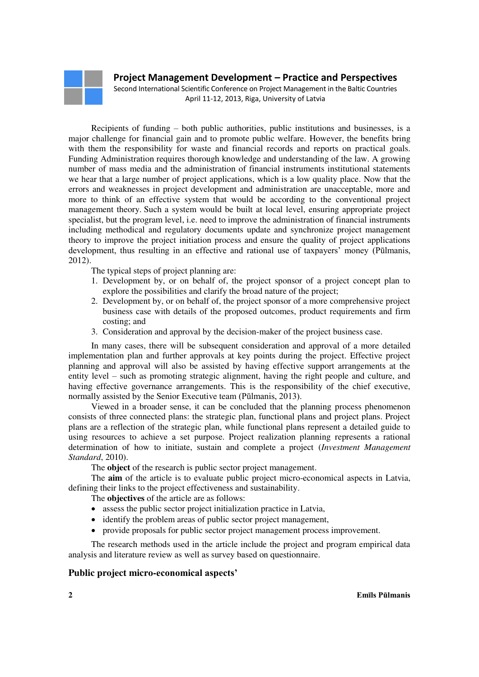

Second International Scientific Conference on Project Management in the Baltic Countries April 11-12, 2013, Riga, University of Latvia

Recipients of funding – both public authorities, public institutions and businesses, is a major challenge for financial gain and to promote public welfare. However, the benefits bring with them the responsibility for waste and financial records and reports on practical goals. Funding Administration requires thorough knowledge and understanding of the law. A growing number of mass media and the administration of financial instruments institutional statements we hear that a large number of project applications, which is a low quality place. Now that the errors and weaknesses in project development and administration are unacceptable, more and more to think of an effective system that would be according to the conventional project management theory. Such a system would be built at local level, ensuring appropriate project specialist, but the program level, i.e. need to improve the administration of financial instruments including methodical and regulatory documents update and synchronize project management theory to improve the project initiation process and ensure the quality of project applications development, thus resulting in an effective and rational use of taxpayers' money (Pūlmanis, 2012).

The typical steps of project planning are:

- 1. Development by, or on behalf of, the project sponsor of a project concept plan to explore the possibilities and clarify the broad nature of the project;
- 2. Development by, or on behalf of, the project sponsor of a more comprehensive project business case with details of the proposed outcomes, product requirements and firm costing; and
- 3. Consideration and approval by the decision-maker of the project business case.

In many cases, there will be subsequent consideration and approval of a more detailed implementation plan and further approvals at key points during the project. Effective project planning and approval will also be assisted by having effective support arrangements at the entity level – such as promoting strategic alignment, having the right people and culture, and having effective governance arrangements. This is the responsibility of the chief executive, normally assisted by the Senior Executive team (Pūlmanis, 2013).

Viewed in a broader sense, it can be concluded that the planning process phenomenon consists of three connected plans: the strategic plan, functional plans and project plans. Project plans are a reflection of the strategic plan, while functional plans represent a detailed guide to using resources to achieve a set purpose. Project realization planning represents a rational determination of how to initiate, sustain and complete a project (*Investment Management Standard*, 2010).

The **object** of the research is public sector project management.

The **aim** of the article is to evaluate public project micro-economical aspects in Latvia, defining their links to the project effectiveness and sustainability.

The **objectives** of the article are as follows:

- assess the public sector project initialization practice in Latvia,
- identify the problem areas of public sector project management,
- provide proposals for public sector project management process improvement.

The research methods used in the article include the project and program empirical data analysis and literature review as well as survey based on questionnaire.

### **Public project micro-economical aspects'**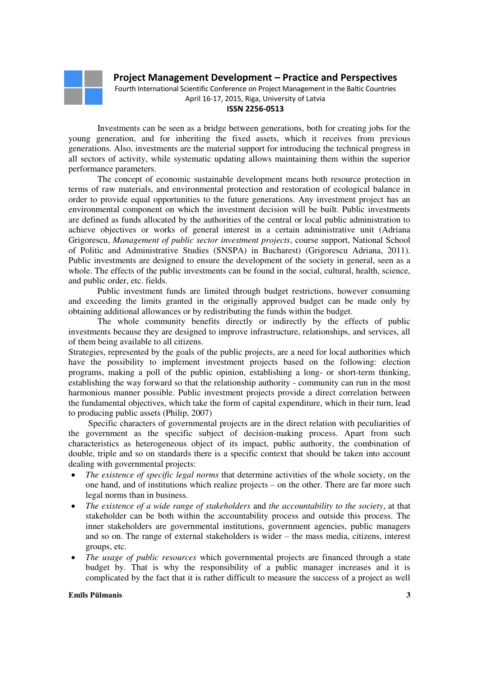

Fourth International Scientific Conference on Project Management in the Baltic Countries April 16-17, 2015, Riga, University of Latvia

#### **ISSN 2256-0513**

Investments can be seen as a bridge between generations, both for creating jobs for the young generation, and for inheriting the fixed assets, which it receives from previous generations. Also, investments are the material support for introducing the technical progress in all sectors of activity, while systematic updating allows maintaining them within the superior performance parameters.

The concept of economic sustainable development means both resource protection in terms of raw materials, and environmental protection and restoration of ecological balance in order to provide equal opportunities to the future generations. Any investment project has an environmental component on which the investment decision will be built. Public investments are defined as funds allocated by the authorities of the central or local public administration to achieve objectives or works of general interest in a certain administrative unit (Adriana Grigorescu, *Management of public sector investment projects*, course support, National School of Politic and Administrative Studies (SNSPA) in Bucharest) (Grigorescu Adriana, 2011). Public investments are designed to ensure the development of the society in general, seen as a whole. The effects of the public investments can be found in the social, cultural, health, science, and public order, etc. fields.

Public investment funds are limited through budget restrictions, however consuming and exceeding the limits granted in the originally approved budget can be made only by obtaining additional allowances or by redistributing the funds within the budget.

The whole community benefits directly or indirectly by the effects of public investments because they are designed to improve infrastructure, relationships, and services, all of them being available to all citizens.

Strategies, represented by the goals of the public projects, are a need for local authorities which have the possibility to implement investment projects based on the following: election programs, making a poll of the public opinion, establishing a long- or short-term thinking, establishing the way forward so that the relationship authority - community can run in the most harmonious manner possible. Public investment projects provide a direct correlation between the fundamental objectives, which take the form of capital expenditure, which in their turn, lead to producing public assets (Philip, 2007)

Specific characters of governmental projects are in the direct relation with peculiarities of the government as the specific subject of decision-making process. Apart from such characteristics as heterogeneous object of its impact, public authority, the combination of double, triple and so on standards there is a specific context that should be taken into account dealing with governmental projects:

- *The existence of specific legal norms* that determine activities of the whole society, on the one hand, and of institutions which realize projects – on the other. There are far more such legal norms than in business.
- *The existence of a wide range of stakeholders* and *the accountability to the society*, at that stakeholder can be both within the accountability process and outside this process. The inner stakeholders are governmental institutions, government agencies, public managers and so on. The range of external stakeholders is wider – the mass media, citizens, interest groups, etc.
- *The usage of public resources* which governmental projects are financed through a state budget by. That is why the responsibility of a public manager increases and it is complicated by the fact that it is rather difficult to measure the success of a project as well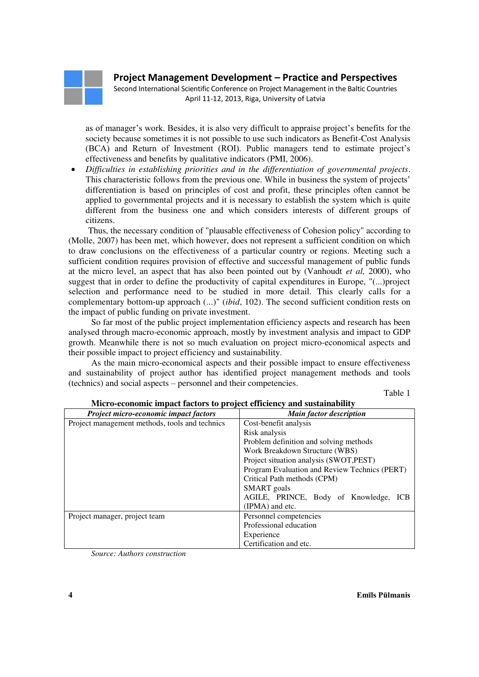Second International Scientific Conference on Project Management in the Baltic Countries April 11-12, 2013, Riga, University of Latvia

as of manager's work. Besides, it is also very difficult to appraise project's benefits for the society because sometimes it is not possible to use such indicators as Benefit-Cost Analysis (BCA) and Return of Investment (ROI). Public managers tend to estimate project's effectiveness and benefits by qualitative indicators (PMI, 2006).

 *Difficulties in establishing priorities and in the differentiation of governmental projects*. This characteristic follows from the previous one. While in business the system of projects' differentiation is based on principles of cost and profit, these principles often cannot be applied to governmental projects and it is necessary to establish the system which is quite different from the business one and which considers interests of different groups of citizens.

Thus, the necessary condition of "plausable effectiveness of Cohesion policy" according to (Molle, 2007) has been met, which however, does not represent a sufficient condition on which to draw conclusions on the effectiveness of a particular country or regions. Meeting such a sufficient condition requires provision of effective and successful management of public funds at the micro level, an aspect that has also been pointed out by (Vanhoudt *et al,* 2000), who suggest that in order to define the productivity of capital expenditures in Europe, "(...)project selection and performance need to be studied in more detail. This clearly calls for a complementary bottom-up approach (...)" (*ibid*, 102). The second sufficient condition rests on the impact of public funding on private investment.

So far most of the public project implementation efficiency aspects and research has been analysed through macro-economic approach, mostly by investment analysis and impact to GDP growth. Meanwhile there is not so much evaluation on project micro-economical aspects and their possible impact to project efficiency and sustainability.

As the main micro-economical aspects and their possible impact to ensure effectiveness and sustainability of project author has identified project management methods and tools (technics) and social aspects – personnel and their competencies.

Table 1

| <b>NICTO-economic impact factors to project efficiency and sustainability</b> |                                               |
|-------------------------------------------------------------------------------|-----------------------------------------------|
| Project micro-economic impact factors                                         | <b>Main factor description</b>                |
| Project management methods, tools and technics                                | Cost-benefit analysis                         |
|                                                                               | Risk analysis                                 |
|                                                                               | Problem definition and solving methods        |
|                                                                               | Work Breakdown Structure (WBS)                |
|                                                                               | Project situation analysis (SWOT, PEST)       |
|                                                                               | Program Evaluation and Review Technics (PERT) |
|                                                                               | Critical Path methods (CPM)                   |
|                                                                               | <b>SMART</b> goals                            |
|                                                                               | AGILE, PRINCE, Body of Knowledge, ICB         |
|                                                                               | (IPMA) and etc.                               |
| Project manager, project team                                                 | Personnel competencies                        |
|                                                                               | Professional education                        |
|                                                                               | Experience                                    |
|                                                                               | Certification and etc.                        |

# **Micro-economic impact factors to project efficiency and sustainability**

*Source: Authors construction*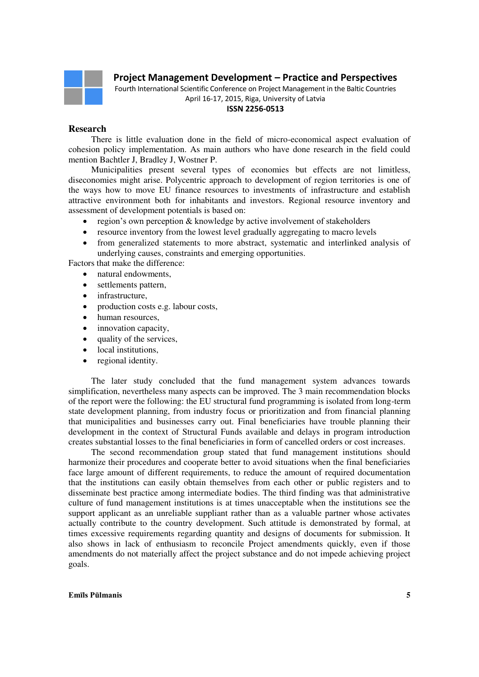

Fourth International Scientific Conference on Project Management in the Baltic Countries April 16-17, 2015, Riga, University of Latvia

#### **ISSN 2256-0513**

### **Research**

There is little evaluation done in the field of micro-economical aspect evaluation of cohesion policy implementation. As main authors who have done research in the field could mention Bachtler J, Bradley J, Wostner P.

Municipalities present several types of economies but effects are not limitless, diseconomies might arise. Polycentric approach to development of region territories is one of the ways how to move EU finance resources to investments of infrastructure and establish attractive environment both for inhabitants and investors. Regional resource inventory and assessment of development potentials is based on:

- region's own perception & knowledge by active involvement of stakeholders
- resource inventory from the lowest level gradually aggregating to macro levels
- from generalized statements to more abstract, systematic and interlinked analysis of underlying causes, constraints and emerging opportunities.

Factors that make the difference:

- natural endowments,
- settlements pattern,
- infrastructure,
- production costs e.g. labour costs,
- human resources,
- innovation capacity,
- quality of the services,
- local institutions,
- regional identity.

The later study concluded that the fund management system advances towards simplification, nevertheless many aspects can be improved. The 3 main recommendation blocks of the report were the following: the EU structural fund programming is isolated from long-term state development planning, from industry focus or prioritization and from financial planning that municipalities and businesses carry out. Final beneficiaries have trouble planning their development in the context of Structural Funds available and delays in program introduction creates substantial losses to the final beneficiaries in form of cancelled orders or cost increases.

The second recommendation group stated that fund management institutions should harmonize their procedures and cooperate better to avoid situations when the final beneficiaries face large amount of different requirements, to reduce the amount of required documentation that the institutions can easily obtain themselves from each other or public registers and to disseminate best practice among intermediate bodies. The third finding was that administrative culture of fund management institutions is at times unacceptable when the institutions see the support applicant as an unreliable suppliant rather than as a valuable partner whose activates actually contribute to the country development. Such attitude is demonstrated by formal, at times excessive requirements regarding quantity and designs of documents for submission. It also shows in lack of enthusiasm to reconcile Project amendments quickly, even if those amendments do not materially affect the project substance and do not impede achieving project goals.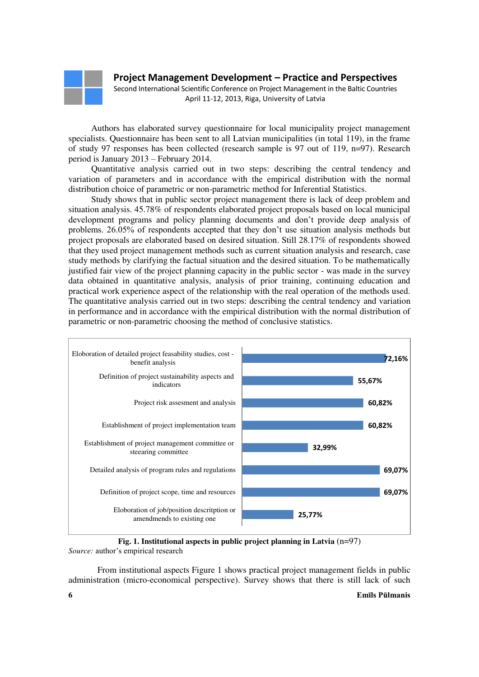Second International Scientific Conference on Project Management in the Baltic Countries April 11-12, 2013, Riga, University of Latvia

Authors has elaborated survey questionnaire for local municipality project management specialists. Questionnaire has been sent to all Latvian municipalities (in total 119), in the frame of study 97 responses has been collected (research sample is 97 out of 119,  $n=97$ ). Research period is January 2013 – February 2014.

Quantitative analysis carried out in two steps: describing the central tendency and variation of parameters and in accordance with the empirical distribution with the normal distribution choice of parametric or non-parametric method for Inferential Statistics.

Study shows that in public sector project management there is lack of deep problem and situation analysis. 45.78% of respondents elaborated project proposals based on local municipal development programs and policy planning documents and don't provide deep analysis of problems. 26.05% of respondents accepted that they don't use situation analysis methods but project proposals are elaborated based on desired situation. Still 28.17% of respondents showed that they used project management methods such as current situation analysis and research, case study methods by clarifying the factual situation and the desired situation. To be mathematically justified fair view of the project planning capacity in the public sector - was made in the survey data obtained in quantitative analysis, analysis of prior training, continuing education and practical work experience aspect of the relationship with the real operation of the methods used. The quantitative analysis carried out in two steps: describing the central tendency and variation in performance and in accordance with the empirical distribution with the normal distribution of parametric or non-parametric choosing the method of conclusive statistics.



**Fig. 1. Institutional aspects in public project planning in Latvia** (n=97) *Source:* author's empirical research

From institutional aspects Figure 1 shows practical project management fields in public administration (micro-economical perspective). Survey shows that there is still lack of such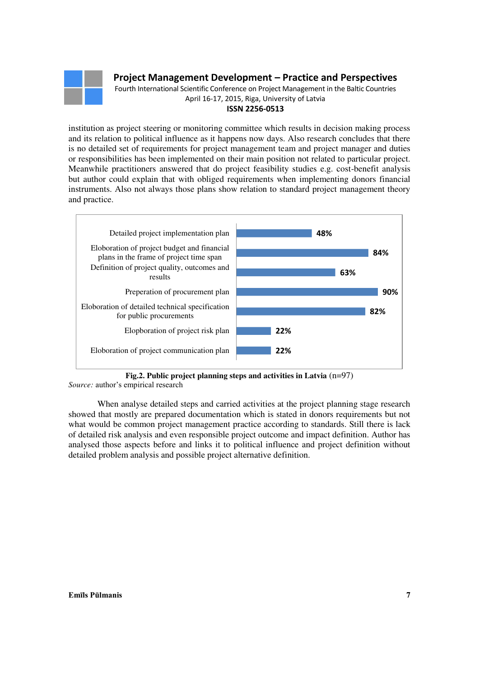

Fourth International Scientific Conference on Project Management in the Baltic Countries April 16-17, 2015, Riga, University of Latvia

### **ISSN 2256-0513**

institution as project steering or monitoring committee which results in decision making process and its relation to political influence as it happens now days. Also research concludes that there is no detailed set of requirements for project management team and project manager and duties or responsibilities has been implemented on their main position not related to particular project. Meanwhile practitioners answered that do project feasibility studies e.g. cost-benefit analysis but author could explain that with obliged requirements when implementing donors financial instruments. Also not always those plans show relation to standard project management theory and practice.



**Fig.2. Public project planning steps and activities in Latvia** (n=97)

*Source:* author's empirical research

When analyse detailed steps and carried activities at the project planning stage research showed that mostly are prepared documentation which is stated in donors requirements but not what would be common project management practice according to standards. Still there is lack of detailed risk analysis and even responsible project outcome and impact definition. Author has analysed those aspects before and links it to political influence and project definition without detailed problem analysis and possible project alternative definition.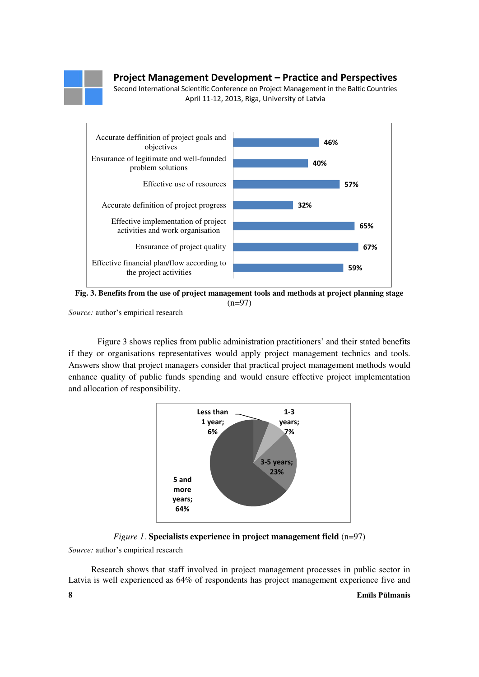

Second International Scientific Conference on Project Management in the Baltic Countries April 11-12, 2013, Riga, University of Latvia



**Fig. 3. Benefits from the use of project management tools and methods at project planning stage**   $(n=97)$ 

*Source:* author's empirical research

Figure 3 shows replies from public administration practitioners' and their stated benefits if they or organisations representatives would apply project management technics and tools. Answers show that project managers consider that practical project management methods would enhance quality of public funds spending and would ensure effective project implementation and allocation of responsibility.





*Source:* author's empirical research

Research shows that staff involved in project management processes in public sector in Latvia is well experienced as 64% of respondents has project management experience five and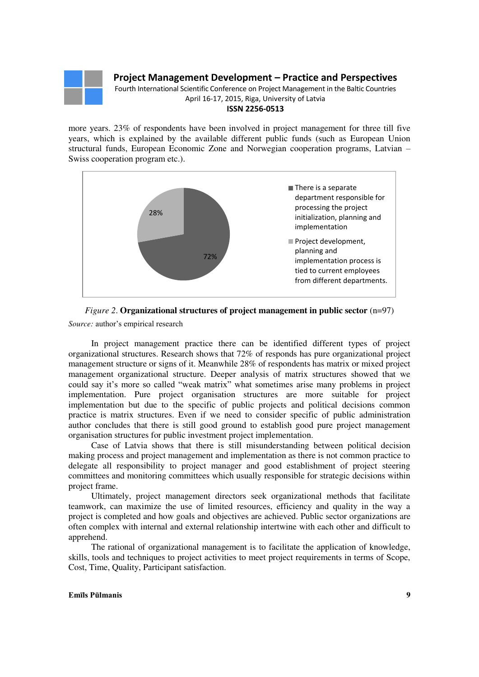

Fourth International Scientific Conference on Project Management in the Baltic Countries April 16-17, 2015, Riga, University of Latvia

### **ISSN 2256-0513**

more years. 23% of respondents have been involved in project management for three till five years, which is explained by the available different public funds (such as European Union structural funds, European Economic Zone and Norwegian cooperation programs, Latvian – Swiss cooperation program etc.).



# *Figure 2*. **Organizational structures of project management in public sector** (n=97)

*Source:* author's empirical research

In project management practice there can be identified different types of project organizational structures. Research shows that 72% of responds has pure organizational project management structure or signs of it. Meanwhile 28% of respondents has matrix or mixed project management organizational structure. Deeper analysis of matrix structures showed that we could say it's more so called "weak matrix" what sometimes arise many problems in project implementation. Pure project organisation structures are more suitable for project implementation but due to the specific of public projects and political decisions common practice is matrix structures. Even if we need to consider specific of public administration author concludes that there is still good ground to establish good pure project management organisation structures for public investment project implementation.

Case of Latvia shows that there is still misunderstanding between political decision making process and project management and implementation as there is not common practice to delegate all responsibility to project manager and good establishment of project steering committees and monitoring committees which usually responsible for strategic decisions within project frame.

Ultimately, project management directors seek organizational methods that facilitate teamwork, can maximize the use of limited resources, efficiency and quality in the way a project is completed and how goals and objectives are achieved. Public sector organizations are often complex with internal and external relationship intertwine with each other and difficult to apprehend.

The rational of organizational management is to facilitate the application of knowledge, skills, tools and techniques to project activities to meet project requirements in terms of Scope, Cost, Time, Quality, Participant satisfaction.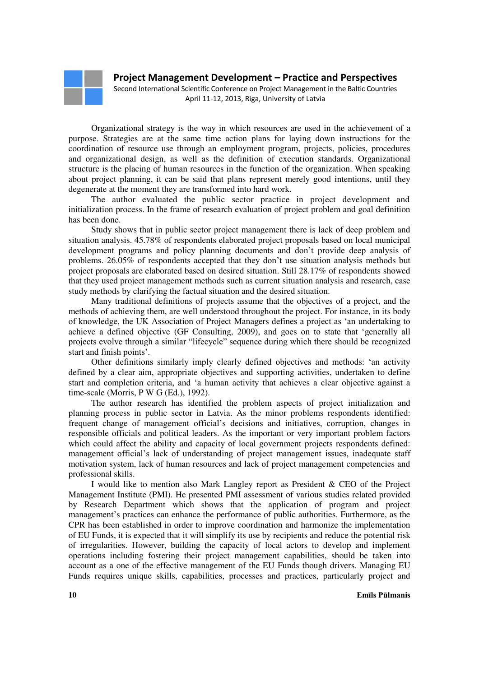Second International Scientific Conference on Project Management in the Baltic Countries April 11-12, 2013, Riga, University of Latvia

Organizational strategy is the way in which resources are used in the achievement of a purpose. Strategies are at the same time action plans for laying down instructions for the coordination of resource use through an employment program, projects, policies, procedures and organizational design, as well as the definition of execution standards. Organizational structure is the placing of human resources in the function of the organization. When speaking about project planning, it can be said that plans represent merely good intentions, until they degenerate at the moment they are transformed into hard work.

The author evaluated the public sector practice in project development and initialization process. In the frame of research evaluation of project problem and goal definition has been done.

Study shows that in public sector project management there is lack of deep problem and situation analysis. 45.78% of respondents elaborated project proposals based on local municipal development programs and policy planning documents and don't provide deep analysis of problems. 26.05% of respondents accepted that they don't use situation analysis methods but project proposals are elaborated based on desired situation. Still 28.17% of respondents showed that they used project management methods such as current situation analysis and research, case study methods by clarifying the factual situation and the desired situation.

Many traditional definitions of projects assume that the objectives of a project, and the methods of achieving them, are well understood throughout the project. For instance, in its body of knowledge, the UK Association of Project Managers defines a project as 'an undertaking to achieve a defined objective (GF Consulting, 2009), and goes on to state that 'generally all projects evolve through a similar "lifecycle" sequence during which there should be recognized start and finish points'.

Other definitions similarly imply clearly defined objectives and methods: 'an activity defined by a clear aim, appropriate objectives and supporting activities, undertaken to define start and completion criteria, and 'a human activity that achieves a clear objective against a time-scale (Morris, P W G (Ed.), 1992).

The author research has identified the problem aspects of project initialization and planning process in public sector in Latvia. As the minor problems respondents identified: frequent change of management official's decisions and initiatives, corruption, changes in responsible officials and political leaders. As the important or very important problem factors which could affect the ability and capacity of local government projects respondents defined: management official's lack of understanding of project management issues, inadequate staff motivation system, lack of human resources and lack of project management competencies and professional skills.

I would like to mention also Mark Langley report as President & CEO of the Project Management Institute (PMI). He presented PMI assessment of various studies related provided by Research Department which shows that the application of program and project management's practices can enhance the performance of public authorities. Furthermore, as the CPR has been established in order to improve coordination and harmonize the implementation of EU Funds, it is expected that it will simplify its use by recipients and reduce the potential risk of irregularities. However, building the capacity of local actors to develop and implement operations including fostering their project management capabilities, should be taken into account as a one of the effective management of the EU Funds though drivers. Managing EU Funds requires unique skills, capabilities, processes and practices, particularly project and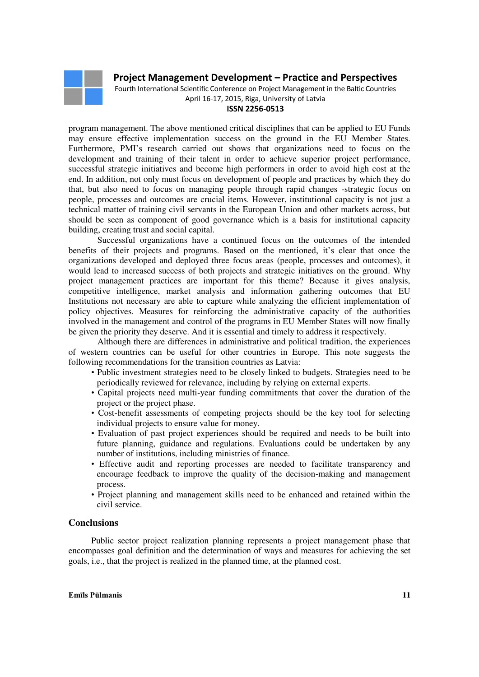Fourth International Scientific Conference on Project Management in the Baltic Countries April 16-17, 2015, Riga, University of Latvia

#### **ISSN 2256-0513**

program management. The above mentioned critical disciplines that can be applied to EU Funds may ensure effective implementation success on the ground in the EU Member States. Furthermore, PMI's research carried out shows that organizations need to focus on the development and training of their talent in order to achieve superior project performance, successful strategic initiatives and become high performers in order to avoid high cost at the end. In addition, not only must focus on development of people and practices by which they do that, but also need to focus on managing people through rapid changes -strategic focus on people, processes and outcomes are crucial items. However, institutional capacity is not just a technical matter of training civil servants in the European Union and other markets across, but should be seen as component of good governance which is a basis for institutional capacity building, creating trust and social capital.

Successful organizations have a continued focus on the outcomes of the intended benefits of their projects and programs. Based on the mentioned, it's clear that once the organizations developed and deployed three focus areas (people, processes and outcomes), it would lead to increased success of both projects and strategic initiatives on the ground. Why project management practices are important for this theme? Because it gives analysis, competitive intelligence, market analysis and information gathering outcomes that EU Institutions not necessary are able to capture while analyzing the efficient implementation of policy objectives. Measures for reinforcing the administrative capacity of the authorities involved in the management and control of the programs in EU Member States will now finally be given the priority they deserve. And it is essential and timely to address it respectively.

Although there are differences in administrative and political tradition, the experiences of western countries can be useful for other countries in Europe. This note suggests the following recommendations for the transition countries as Latvia:

- Public investment strategies need to be closely linked to budgets. Strategies need to be periodically reviewed for relevance, including by relying on external experts.
- Capital projects need multi-year funding commitments that cover the duration of the project or the project phase.
- Cost-benefit assessments of competing projects should be the key tool for selecting individual projects to ensure value for money.
- Evaluation of past project experiences should be required and needs to be built into future planning, guidance and regulations. Evaluations could be undertaken by any number of institutions, including ministries of finance.
- Effective audit and reporting processes are needed to facilitate transparency and encourage feedback to improve the quality of the decision-making and management process.
- Project planning and management skills need to be enhanced and retained within the civil service.

### **Conclusions**

Public sector project realization planning represents a project management phase that encompasses goal definition and the determination of ways and measures for achieving the set goals, i.e., that the project is realized in the planned time, at the planned cost.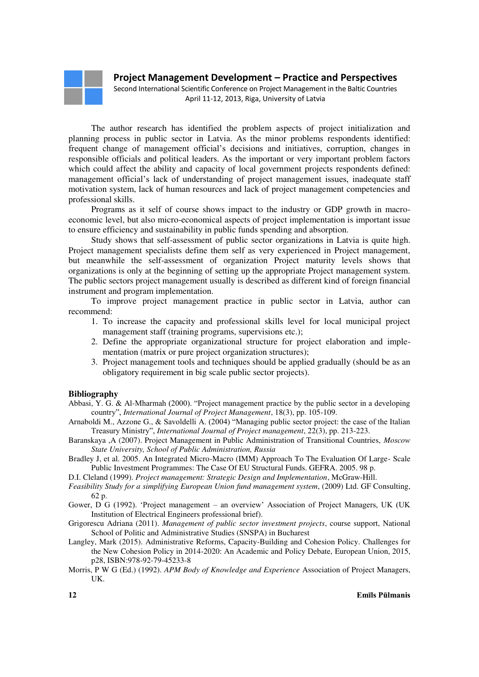Second International Scientific Conference on Project Management in the Baltic Countries April 11-12, 2013, Riga, University of Latvia

The author research has identified the problem aspects of project initialization and planning process in public sector in Latvia. As the minor problems respondents identified: frequent change of management official's decisions and initiatives, corruption, changes in responsible officials and political leaders. As the important or very important problem factors which could affect the ability and capacity of local government projects respondents defined: management official's lack of understanding of project management issues, inadequate staff motivation system, lack of human resources and lack of project management competencies and professional skills.

Programs as it self of course shows impact to the industry or GDP growth in macroeconomic level, but also micro-economical aspects of project implementation is important issue to ensure efficiency and sustainability in public funds spending and absorption.

Study shows that self-assessment of public sector organizations in Latvia is quite high. Project management specialists define them self as very experienced in Project management, but meanwhile the self-assessment of organization Project maturity levels shows that organizations is only at the beginning of setting up the appropriate Project management system. The public sectors project management usually is described as different kind of foreign financial instrument and program implementation.

To improve project management practice in public sector in Latvia, author can recommend:

- 1. To increase the capacity and professional skills level for local municipal project management staff (training programs, supervisions etc.);
- 2. Define the appropriate organizational structure for project elaboration and implementation (matrix or pure project organization structures);
- 3. Project management tools and techniques should be applied gradually (should be as an obligatory requirement in big scale public sector projects).

#### **Bibliography**

- Abbasi, Y. G. & Al-Mharmah (2000). "Project management practice by the public sector in a developing country", *International Journal of Project Management*, 18(3), pp. 105-109.
- Arnaboldi M., Azzone G., & Savoldelli A. (2004) "Managing public sector project: the case of the Italian Treasury Ministry", *International Journal of Project management*, 22(3), pp. 213-223.
- Baranskaya ,A (2007). Project Management in Public Administration of Transitional Countries, *Moscow State University, School of Public Administration, Russia*
- Bradley J, et al. 2005. An Integrated Micro-Macro (IMM) Approach To The Evaluation Of Large- Scale Public Investment Programmes: The Case Of EU Structural Funds. GEFRA. 2005. 98 p.
- D.I. Cleland (1999). *Project management: Strategic Design and Implementation*, McGraw-Hill.
- *Feasibility Study for a simplifying European Union fund management system*, (2009) Ltd. GF Consulting, 62 p.
- Gower, D G (1992). 'Project management an overview' Association of Project Managers, UK (UK Institution of Electrical Engineers professional brief).
- Grigorescu Adriana (2011). *Management of public sector investment projects*, course support, National School of Politic and Administrative Studies (SNSPA) in Bucharest
- Langley, Mark (2015). Administrative Reforms, Capacity-Building and Cohesion Policy. Challenges for the New Cohesion Policy in 2014-2020: An Academic and Policy Debate, European Union, 2015, p28, ISBN:978-92-79-45233-8
- Morris, P W G (Ed.) (1992). *APM Body of Knowledge and Experience* Association of Project Managers, UK.